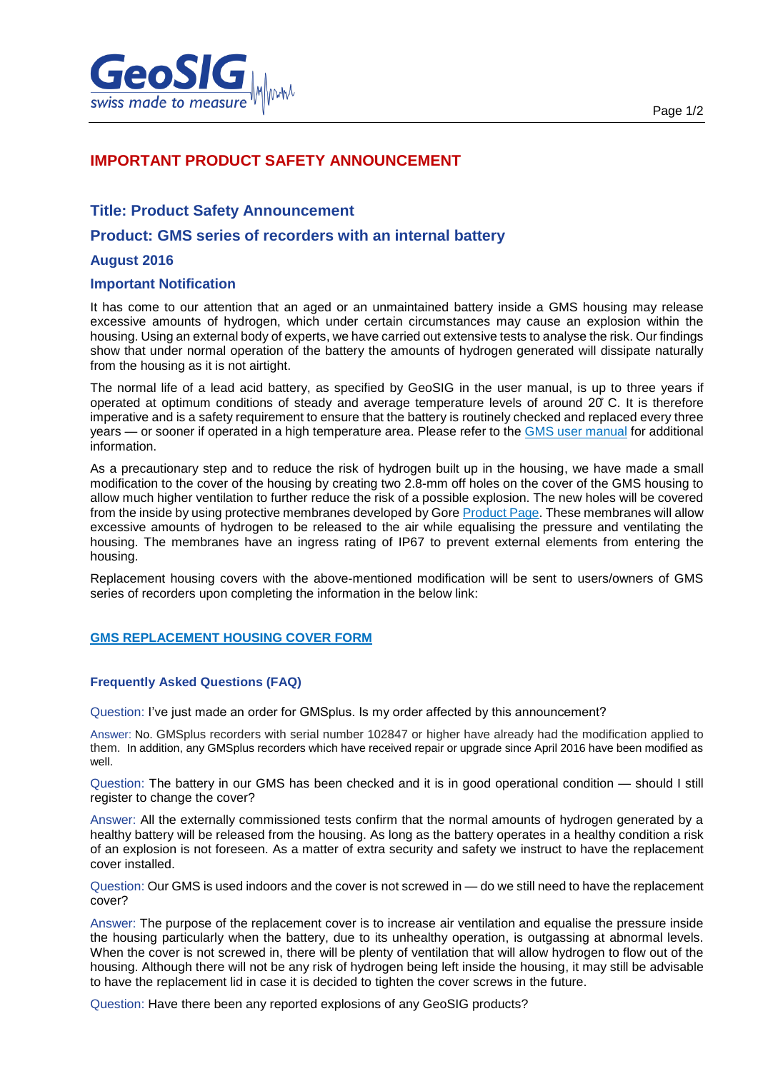

# **IMPORTANT PRODUCT SAFETY ANNOUNCEMENT**

## **Title: Product Safety Announcement**

## **Product: GMS series of recorders with an internal battery**

### **August 2016**

### **Important Notification**

It has come to our attention that an aged or an unmaintained battery inside a GMS housing may release excessive amounts of hydrogen, which under certain circumstances may cause an explosion within the housing. Using an external body of experts, we have carried out extensive tests to analyse the risk. Our findings show that under normal operation of the battery the amounts of hydrogen generated will dissipate naturally from the housing as it is not airtight.

The normal life of a lead acid battery, as specified by GeoSIG in the user manual, is up to three years if operated at optimum conditions of steady and average temperature levels of around 20̊ C. It is therefore imperative and is a safety requirement to ensure that the battery is routinely checked and replaced every three years — or sooner if operated in a high temperature area. Please refer to the [GMS user manual](http://www.geosig.com/files/GS_GMSplus_UserManual.pdf) for additional information.

As a precautionary step and to reduce the risk of hydrogen built up in the housing, we have made a small modification to the cover of the housing by creating two 2.8-mm off holes on the cover of the GMS housing to allow much higher ventilation to further reduce the risk of a possible explosion. The new holes will be covered from the inside by using protective membranes developed by Gore [Product Page.](http://www.gore.com/MungoBlobs/228/46/GORE_PTV_Adhesive_Vents_UK.pdf) These membranes will allow excessive amounts of hydrogen to be released to the air while equalising the pressure and ventilating the housing. The membranes have an ingress rating of IP67 to prevent external elements from entering the housing.

Replacement housing covers with the above-mentioned modification will be sent to users/owners of GMS series of recorders upon completing the information in the below link:

### **[GMS REPLACEMENT HOUSING COVER FORM](http://www.geosig.com/Battery-Safety-Announcement-pg79.aspx)**

#### **Frequently Asked Questions (FAQ)**

Question: I've just made an order for GMSplus. Is my order affected by this announcement?

Answer: No. GMSplus recorders with serial number 102847 or higher have already had the modification applied to them. In addition, any GMSplus recorders which have received repair or upgrade since April 2016 have been modified as well.

Question: The battery in our GMS has been checked and it is in good operational condition — should I still register to change the cover?

Answer: All the externally commissioned tests confirm that the normal amounts of hydrogen generated by a healthy battery will be released from the housing. As long as the battery operates in a healthy condition a risk of an explosion is not foreseen. As a matter of extra security and safety we instruct to have the replacement cover installed.

Question: Our GMS is used indoors and the cover is not screwed in — do we still need to have the replacement cover?

Answer: The purpose of the replacement cover is to increase air ventilation and equalise the pressure inside the housing particularly when the battery, due to its unhealthy operation, is outgassing at abnormal levels. When the cover is not screwed in, there will be plenty of ventilation that will allow hydrogen to flow out of the housing. Although there will not be any risk of hydrogen being left inside the housing, it may still be advisable to have the replacement lid in case it is decided to tighten the cover screws in the future.

Question: Have there been any reported explosions of any GeoSIG products?